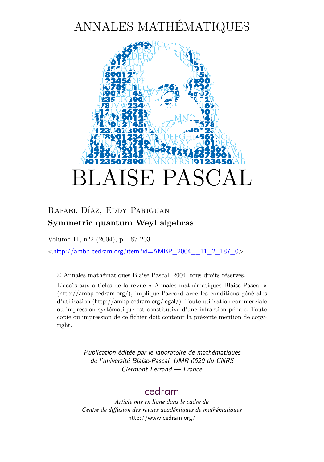# ANNALES MATHÉMATIQUES



# Rafael Díaz, Eddy Pariguan **Symmetric quantum Weyl algebras**

Volume 11, n<sup>o</sup>2 (2004), p. 187[-203.](#page-16-0)

<[http://ambp.cedram.org/item?id=AMBP\\_2004\\_\\_11\\_2\\_187\\_0](http://ambp.cedram.org/item?id=AMBP_2004__11_2_187_0)>

© Annales mathématiques Blaise Pascal, 2004, tous droits réservés.

L'accès aux articles de la revue « Annales mathématiques Blaise Pascal » (<http://ambp.cedram.org/>), implique l'accord avec les conditions générales d'utilisation (<http://ambp.cedram.org/legal/>). Toute utilisation commerciale ou impression systématique est constitutive d'une infraction pénale. Toute copie ou impression de ce fichier doit contenir la présente mention de copyright.

> *Publication éditée par le laboratoire de mathématiques de l'université Blaise-Pascal, UMR 6620 du CNRS Clermont-Ferrand — France*

# [cedram](http://www.cedram.org/)

*Article mis en ligne dans le cadre du Centre de diffusion des revues académiques de mathématiques* <http://www.cedram.org/>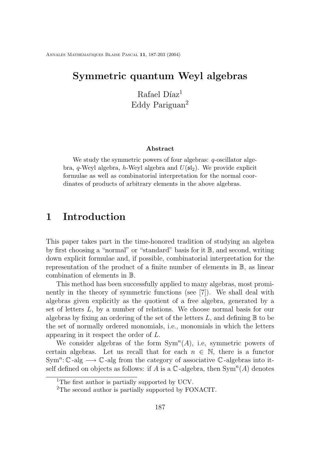Annales Mathematiques Blaise Pascal **11**, 187[-203](#page-16-0) (2004)

## **Symmetric quantum Weyl algebras**

Rafael Díaz<sup>1</sup> Eddy Pariguan<sup>2</sup>

#### **Abstract**

We study the symmetric powers of four algebras:  $q$ -oscillator algebra, q-Weyl algebra, h-Weyl algebra and  $U(\mathfrak{sl}_2)$ . We provide explicit formulae as well as combinatorial interpretation for the normal coordinates of products of arbitrary elements in the above algebras.

## **1 Introduction**

This paper takes part in the time-honored tradition of studying an algebra by first choosing a "normal" or "standard" basis for it B, and second, writing down explicit formulae and, if possible, combinatorial interpretation for the representation of the product of a finite number of elements in B, as linear combination of elements in B.

This method has been successfully applied to many algebras, most prominently in the theory of symmetric functions (see [\[7\]](#page-17-0)). We shall deal with algebras given explicitly as the quotient of a free algebra, generated by a set of letters L, by a number of relations. We choose normal basis for our algebras by fixing an ordering of the set of the letters  $L$ , and defining  $\mathbb B$  to be the set of normally ordered monomials, i.e., monomials in which the letters appearing in it respect the order of L.

We consider algebras of the form  $Sym<sup>n</sup>(A)$ , i.e, symmetric powers of certain algebras. Let us recall that for each  $n \in \mathbb{N}$ , there is a functor Sym<sup>n</sup>:  $\mathbb{C}$ -alg  $\longrightarrow$   $\mathbb{C}$ -alg from the category of associative  $\mathbb{C}$ -algebras into itself defined on objects as follows: if A is a  $\mathbb C$ -algebra, then  $\text{Sym}^n(A)$  denotes

<sup>&</sup>lt;sup>1</sup>The first author is partially supported by UCV.

<sup>2</sup>The second author is partially supported by FONACIT.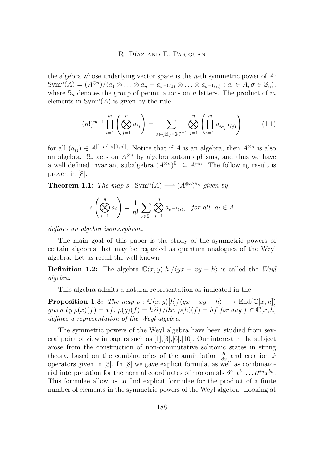<span id="page-2-0"></span>the algebra whose underlying vector space is the  $n$ -th symmetric power of  $A$ :  $\text{Sym}^n(A) = (A^{\otimes n})/\langle a_1 \otimes \ldots \otimes a_n - a_{\sigma^{-1}(1)} \otimes \ldots \otimes a_{\sigma^{-1}(n)} : a_i \in A, \sigma \in \mathbb{S}_n \rangle,$ where  $\mathbb{S}_n$  denotes the group of permutations on n letters. The product of m elements in  $Sym<sup>n</sup>(A)$  is given by the rule

$$
(n!)^{m-1} \prod_{i=1}^{m} \left( \bigotimes_{j=1}^{n} a_{ij} \right) = \sum_{\sigma \in \{\text{id}\} \times \mathbb{S}_{n}^{m-1}} \bigotimes_{j=1}^{n} \left( \prod_{i=1}^{m} a_{i\sigma_{i}^{-1}(j)} \right)
$$
(1.1)

for all  $(a_{ij}) \in A^{[[1,m]] \times [[1,n]]}$ . Notice that if A is an algebra, then  $A^{\otimes n}$  is also an algebra.  $\mathbb{S}_n$  acts on  $A^{\otimes n}$  by algebra automorphisms, and thus we have a well defined invariant subalgebra  $(A^{\otimes n})^{\mathbb{S}_n} \subseteq A^{\otimes n}$ . The following result is proven in [[8](#page-17-0)].

**Theorem 1.1:** *The map*  $s: Sym^n(A) \longrightarrow (A^{\otimes n})^{\mathbb{S}_n}$  *given by* 

$$
s\left(\bigotimes_{i=1}^{n} a_i\right) = \frac{1}{n!} \sum_{\sigma \in \mathbb{S}_n} \overline{\bigotimes_{i=1}^{n} a_{\sigma^{-1}(i)}}, \text{ for all } a_i \in A
$$

*defines an algebra isomorphism.*

The main goal of this paper is the study of the symmetric powers of certain algebras that may be regarded as quantum analogues of the Weyl algebra. Let us recall the well-known

**Definition 1.2:** The algebra  $\mathbb{C}\langle x, y \rangle [h]/\langle yx - xy - h \rangle$  is called the *Weyl algebra*.

This algebra admits a natural representation as indicated in the

**Proposition 1.3:** *The map*  $\rho : \mathbb{C}\langle x, y \rangle[h]/\langle yx - xy - h \rangle \longrightarrow \text{End}(\mathbb{C}[x, h])$ *given by*  $\rho(x)(f) = xf$ ,  $\rho(y)(f) = h \partial f/\partial x$ ,  $\rho(h)(f) = hf$  *for any*  $f \in \mathbb{C}[x,h]$ *defines a representation of the Weyl algebra.*

The symmetric powers of the Weyl algebra have been studied from several point of view in papers such as [\[1\]](#page-16-0),[\[3\]](#page-16-0),[\[6\]](#page-17-0),[\[10\]](#page-17-0). Our interest in the subject arose from the construction of non-commutative solitonic states in string theory, based on the combinatorics of the annihilation  $\frac{\partial}{\partial x}$  and creation  $\hat{x}$ operators given in [\[3\]](#page-16-0). In [\[8\]](#page-17-0) we gave explicit formula, as well as combinatorial interpretation for the normal coordinates of monomials  $\partial^{a_1} x^{b_1} \dots \partial^{a_n} x^{b_n}$ . This formulae allow us to find explicit formulae for the product of a finite number of elements in the symmetric powers of the Weyl algebra. Looking at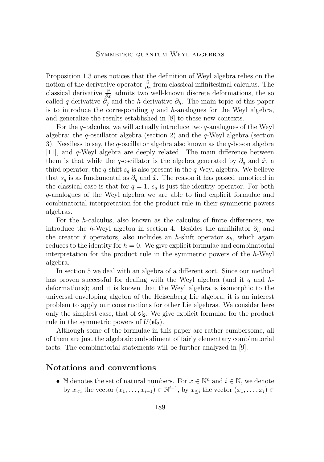Proposition [1.3](#page-2-0) ones notices that the definition of Weyl algebra relies on the notion of the derivative operator  $\frac{\partial}{\partial x}$  from classical infinitesimal calculus. The classical derivative  $\frac{\partial}{\partial x}$  admits two well-known discrete deformations, the so called q-derivative  $\partial_q$  and the h-derivative  $\partial_h$ . The main topic of this paper is to introduce the corresponding q and h-analogues for the Weyl algebra, and generalize the results established in [\[8\]](#page-17-0) to these new contexts.

For the  $q$ -calculus, we will actually introduce two  $q$ -analogues of the Weyl algebra: the  $q$ -oscillator algebra (section [2\)](#page-4-0) and the  $q$ -Weyl algebra (section [3\)](#page-8-0). Needless to say, the q-oscillator algebra also known as the q-boson algebra  $[11]$ , and q-Weyl algebra are deeply related. The main difference between them is that while the q-oscillator is the algebra generated by  $\partial_q$  and  $\hat{x}$ , a third operator, the q-shift  $s_q$  is also present in the q-Weyl algebra. We believe that  $s_q$  is as fundamental as  $\partial_q$  and  $\hat{x}$ . The reason it has passed unnoticed in the classical case is that for  $q = 1$ ,  $s_q$  is just the identity operator. For both q-analogues of the Weyl algebra we are able to find explicit formulae and combinatorial interpretation for the product rule in their symmetric powers algebras.

For the h-calculus, also known as the calculus of finite differences, we introduce the h-Weyl algebra in section [4.](#page-11-0) Besides the annihilator  $\partial_h$  and the creator  $\hat{x}$  operators, also includes an h-shift operator  $s_h$ , which again reduces to the identity for  $h = 0$ . We give explicit formulae and combinatorial interpretation for the product rule in the symmetric powers of the h-Weyl algebra.

In section [5](#page-14-0) we deal with an algebra of a different sort. Since our method has proven successful for dealing with the Weyl algebra (and it q and  $h$ deformations); and it is known that the Weyl algebra is isomorphic to the universal enveloping algebra of the Heisenberg Lie algebra, it is an interest problem to apply our constructions for other Lie algebras. We consider here only the simplest case, that of  $\mathfrak{sl}_2$ . We give explicit formulae for the product rule in the symmetric powers of  $U(\mathfrak{sl}_2)$ .

Although some of the formulae in this paper are rather cumbersome, all of them are just the algebraic embodiment of fairly elementary combinatorial facts. The combinatorial statements will be further analyzed in [[9](#page-17-0)].

### **Notations and conventions**

• N denotes the set of natural numbers. For  $x \in \mathbb{N}^n$  and  $i \in \mathbb{N}$ , we denote by  $x_{\leq i}$  the vector  $(x_1, \ldots, x_{i-1}) \in \mathbb{N}^{i-1}$ , by  $x_{\leq i}$  the vector  $(x_1, \ldots, x_i) \in$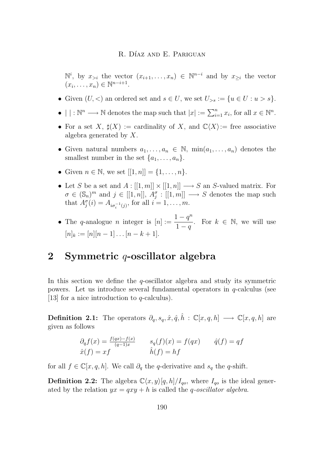<span id="page-4-0"></span> $\mathbb{N}^i$ , by  $x_{>i}$  the vector  $(x_{i+1},...,x_n)$  ∈  $\mathbb{N}^{n-i}$  and by  $x_{\geq i}$  the vector  $(x_i, \ldots, x_n) \in \mathbb{N}^{n-i+1}.$ 

- Given  $(U, \leq)$  an ordered set and  $s \in U$ , we set  $U_{>s} := \{u \in U : u > s\}.$
- $| \cdot | : \mathbb{N}^n \longrightarrow \mathbb{N}$  denotes the map such that  $|x| := \sum_{i=1}^n x_i$ , for all  $x \in \mathbb{N}^n$ .
- For a set X,  $\sharp(X) := \text{cardinality of } X$ , and  $\mathbb{C}\langle X \rangle := \text{free associative}$ algebra generated by X.
- Given natural numbers  $a_1, \ldots, a_n \in \mathbb{N}$ ,  $\min(a_1, \ldots, a_n)$  denotes the smallest number in the set  $\{a_1, \ldots, a_n\}.$
- Given  $n \in \mathbb{N}$ , we set  $[[1, n]] = \{1, ..., n\}$ .
- Let S be a set and  $A : [[1, m]] \times [[1, n]] \longrightarrow S$  an S-valued matrix. For  $\sigma \in (\mathbb{S}_n)^m$  and  $j \in [[1,n]], \ A^\sigma_j : [[1,m]] \longrightarrow S$  denotes the map such that  $A_j^{\sigma}(i) = A_{i\sigma_i^{-1}(j)}$ , for all  $i = 1, ..., m$ .
- The q-analogue n integer is  $[n] := \frac{1 q^n}{1 q^n}$  $\frac{1-q}{1-q}$ . For  $k \in \mathbb{N}$ , we will use  $[n]_k := [n][n-1] \dots [n-k+1].$

# **2 Symmetric** q**-oscillator algebra**

In this section we define the  $q$ -oscillator algebra and study its symmetric powers. Let us introduce several fundamental operators in q-calculus (see [[13](#page-17-0)] for a nice introduction to  $q$ -calculus).

**Definition 2.1:** The operators  $\partial_q$ ,  $s_q$ ,  $\hat{x}$ ,  $\hat{q}$ ,  $\hat{h}$  :  $\mathbb{C}[x, q, h] \longrightarrow \mathbb{C}[x, q, h]$  are given as follows

$$
\partial_q f(x) = \frac{f(qx) - f(x)}{(q-1)x} \qquad s_q(f)(x) = f(qx) \qquad \hat{q}(f) = qf
$$
  

$$
\hat{x}(f) = xf \qquad \hat{h}(f) = hf
$$

for all  $f \in \mathbb{C}[x, q, h]$ . We call  $\partial_q$  the q-derivative and  $s_q$  the q-shift.

**Definition 2.2:** The algebra  $\mathbb{C}\langle x, y \rangle [q, h]/I_{qo}$ , where  $I_{qo}$  is the ideal generated by the relation  $yx = qxy + h$  is called the *q*-*oscillator algebra*.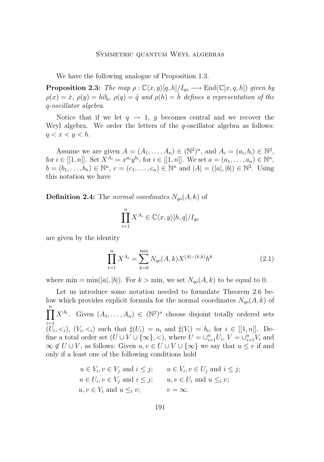<span id="page-5-0"></span>We have the following analogue of Proposition [1](#page-2-0).3.

**Proposition 2.3:** *The map*  $\rho : \mathbb{C}\langle x, y \rangle [q, h]/I_{qo} \longrightarrow \text{End}(\mathbb{C}[x, q, h])$  *given by*  $\rho(x) = \hat{x}, \rho(y) = h\partial_q, \rho(q) = \hat{q}$  and  $\rho(h) = \hat{h}$  defines a representation of the q*-oscillator algebra.*

Notice that if we let  $q \to 1$ , y becomes central and we recover the Weyl algebra. We order the letters of the  $q$ -oscillator algebra as follows:  $q < x < y < h$ .

Assume we are given  $A = (A_1, \ldots, A_n) \in (\mathbb{N}^2)^n$ , and  $A_i = (a_i, b_i) \in \mathbb{N}^2$ , for  $i \in [[1, n]]$ . Set  $X^{A_i} = x^{a_i}y^{b_i}$ , for  $i \in [[1, n]]$ . We set  $a = (a_1, \ldots, a_n) \in \mathbb{N}^n$ ,  $b = (b_1, \ldots, b_n) \in \mathbb{N}^n$ ,  $c = (c_1, \ldots, c_n) \in \mathbb{N}^n$  and  $|A| = (|a|, |b|) \in \mathbb{N}^2$ . Using this notation we have

**Definition 2.4:** The *normal coordinates*  $N_{q0}(A, k)$  of

$$
\prod_{i=1}^{n} X^{A_i} \in \mathbb{C}\langle x, y \rangle [h, q] / I_{qo}
$$

are given by the identity

$$
\prod_{i=1}^{n} X^{A_i} = \sum_{k=0}^{\min} N_{qo}(A,k) X^{|A|-(k,k)} h^k
$$
\n(2.1)

where min = min(|a|, |b|). For  $k >$  min, we set  $N_{q_0}(A, k)$  to be equal to 0.

Let us introduce some notation needed to formulate Theorem [2](#page-6-0).6 below which provides explicit formula for the normal coordinates  $N_{q0}(A, k)$  of  $\prod^n X^{A_i}$ . Given  $(A_1, \ldots, A_n) \in (\mathbb{N}^2)^n$  choose disjoint totally ordered sets  $(U_i, \leq_i)$ ,  $(V_i, \leq_i)$  such that  $\sharp(U_i) = a_i$  and  $\sharp(V_i) = b_i$ , for  $i \in [[1, n]]$ . Define a total order set  $(U \cup V \cup {\infty}$ , <), where  $U = \cup_{i=1}^{n} U_i$ ,  $V = \cup_{i=1}^{n} V_i$  and  $\infty \notin U \cup V$ , as follows: Given  $u, v \in U \cup V \cup \{\infty\}$  we say that  $u \leq v$  if and only if a least one of the following conditions hold

> $u \in V_i, v \in V_j$  and  $i \leq j$ ;  $u \in V_i, v \in U_j$  and  $i \leq j$ ;  $u \in U_i, v \in V_j$  and  $i \leq j$ ;  $u, v \in U_i$  and  $u \leq_i v$ ;  $u, v \in V_i$  and  $u \leq_i v;$   $v = \infty$ .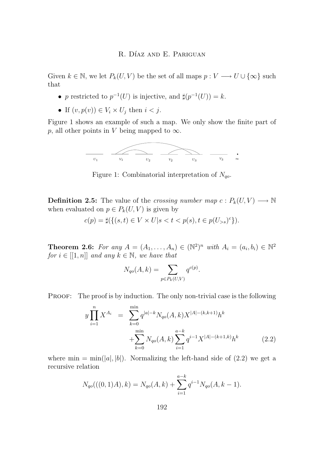<span id="page-6-0"></span>Given  $k \in \mathbb{N}$ , we let  $P_k(U, V)$  be the set of all maps  $p: V \longrightarrow U \cup \{\infty\}$  such that

- p restricted to  $p^{-1}(U)$  is injective, and  $\sharp(p^{-1}(U)) = k$ .
- If  $(v, p(v)) \in V_i \times U_j$  then  $i < j$ .

Figure 1 shows an example of such a map. We only show the finite part of p, all other points in V being mapped to  $\infty$ . bunet points in  $\gamma$  being mapped to  $\infty$ .



Figure 1: Combinatorial interpretation of  $N_{qo}$ .

 $\mathcal{L}$ **Definition 2.5:** The value of the *crossing number map*  $c : P_k(U, V) \longrightarrow \mathbb{N}$ when evaluated on  $p \in P_k(U, V)$  is given by

$$
c(p) = \sharp \{ \{ (s, t) \in V \times U | s < t < p(s), t \in p(U_{>s})^c \} \}.
$$

 $\overline{a}$   $\overline{b}$   $\overline{c}$   $\overline{c}$   $\overline{d}$   $\overline{d}$   $\overline{d}$   $\overline{d}$   $\overline{d}$   $\overline{d}$   $\overline{d}$   $\overline{d}$   $\overline{d}$   $\overline{d}$   $\overline{d}$   $\overline{d}$   $\overline{d}$   $\overline{d}$   $\overline{d}$   $\overline{d}$   $\overline{d}$   $\overline{d}$   $\overline{d}$   $\overline{d}$   $\overline{$  $N$  we have that  $for i \in [[1, n]]$  and any  $k \in \mathbb{N}$ , we have that **Theorem 2.6:** *For any*  $A = (A_1, \ldots, A_n) \in (\mathbb{N}^2)^n$  *with*  $A_i = (a_i, b_i) \in \mathbb{N}^2$ <br>for  $i \in [1, n]$  and any  $k \in \mathbb{N}$  are hore that

$$
N_{qo}(A, k) = \sum_{p \in P_k(U, V)} q^{c(p)}.
$$

 $\overline{01}$  $\cdot$   $\cdot$   $\cdot$   $\cdot$   $\cdot$  $\mathfrak{u}\mathbf{c}\mathfrak{v}$ PROOF: The proof is by induction. The only non-trivial case is the following

$$
y \prod_{i=1}^{n} X^{A_i} = \sum_{k=0}^{\min} q^{|a|-k} N_{qo}(A, k) X^{|A|-(k, k+1)} h^k + \sum_{k=0}^{\min} N_{qo}(A, k) \sum_{i=1}^{a-k} q^{i-1} X^{|A|-(k+1, k)} h^k
$$
 (2.2)

<sub>i=1</sub><br>e left-hand side o' where min =  $min(|a|, |b|)$ . Normalizing the left-hand side of (2.2) we get a recursive relation

$$
N_{qo}(((0,1)A),k) = N_{qo}(A,k) + \sum_{i=1}^{a-k} q^{i-1} N_{qo}(A,k-1).
$$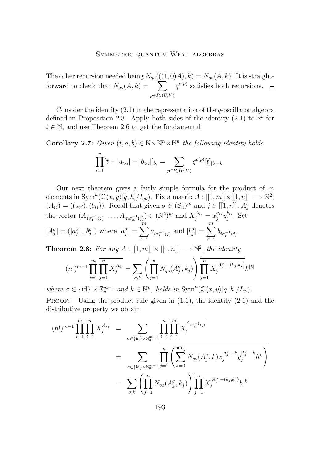The other recursion needed being  $N_{q0}(((1,0)A), k) = N_{q0}(A, k)$ . It is straightforward to check that  $N_{q0}(A, k) = \sum_{k=1}^{k}$  $p \in P_k(U, V)$  $q^{c(p)}$  satisfies both recursions.

Consider the identity  $(2.1)$  $(2.1)$  in the representation of the q-oscillator algebra defined in Proposition [2](#page-5-0).3. Apply both sides of the identity  $(2.1)$  $(2.1)$  to  $x<sup>t</sup>$  for  $t \in \mathbb{N}$ , and use Theorem [2](#page-6-0).6 to get the fundamental

**Corollary 2.7:** *Given*  $(t, a, b) \in \mathbb{N} \times \mathbb{N}^n \times \mathbb{N}^n$  *the following identity holds* 

$$
\prod_{i=1}^{n} [t + |a_{>i}| - |b_{>i}|]_{b_i} = \sum_{p \in P_k(U,V)} q^{c(p)}[t]_{|b|-k}.
$$

Our next theorem gives a fairly simple formula for the product of  $m$ elements in Sym<sup>n</sup>( $\mathbb{C}\langle x, y \rangle [q, h]/I_{qo}$ ). Fix a matrix  $A: [[1, m]] \times [[1, n]] \longrightarrow \mathbb{N}^2$ ,  $(A_{ij}) = ((a_{ij}), (b_{ij}))$ . Recall that given  $\sigma \in (\mathbb{S}_n)^m$  and  $j \in [[1, n]], A_j^{\sigma}$  denotes the vector  $(A_{1\sigma_1^{-1}(j)},..., A_{m\sigma_m^{-1}(j)}) \in (\mathbb{N}^2)^m$  and  $X_j^{A_{ij}} = x_j^{a_{ij}} y_j^{b_{ij}}$ . Set  $|A_j^{\sigma}| = (|a_j^{\sigma}|, |b_j^{\sigma}|)$  where  $|a_j^{\sigma}| = \sum_{j=1}^{m}$  $i=1$  $a_{i\sigma_i^{-1}(j)}$  and  $|b_j^{\sigma}| = \sum_{i=1}^{m}$  $i=1$  $b_{i\sigma_i^{-1}(j)}$ .

**Theorem 2.8:** For any  $A : [[1, m]] \times [[1, n]] \longrightarrow \mathbb{N}^2$ , the identity

$$
(n!)^{m-1} \prod_{i=1}^{m} \prod_{j=1}^{n} X_j^{A_{ij}} = \sum_{\sigma, k} \left( \prod_{j=1}^{n} N_{qo}(A_j^{\sigma}, k_j) \right) \prod_{j=1}^{n} X_j^{|A_j^{\sigma}| - (k_j, k_j)} h^{|k|}
$$

where  $\sigma \in \{\text{id}\}\times\mathbb{S}_n^{m-1}$  and  $k \in \mathbb{N}^n$ , holds in  $\text{Sym}^n(\mathbb{C}\langle x,y\rangle[q,h]/I_{qo})$ . **PROOF:** Using the product rule given in  $(1.1)$  $(1.1)$ , the identity  $(2.1)$  $(2.1)$  and the distributive property we obtain

$$
(n!)^{m-1} \prod_{i=1}^{m} \prod_{j=1}^{n} X_j^{A_{ij}} = \sum_{\sigma \in \{\text{id}\} \times \mathbb{S}_n^{m-1}} \prod_{j=1}^{n} \prod_{i=1}^{m} X_j^{A_{i\sigma_i^{-1}(j)}}
$$
  

$$
= \sum_{\sigma \in \{\text{id}\} \times \mathbb{S}_n^{m-1}} \prod_{j=1}^{n} \left( \sum_{k=0}^{\min_j} N_{qo}(A_j^{\sigma}, k) x_j^{|a_j^{\sigma}| - k} y_j^{|b_j^{\sigma}| - k} h^k \right)
$$
  

$$
= \sum_{\sigma, k} \left( \prod_{j=1}^{n} N_{qo}(A_j^{\sigma}, k_j) \right) \prod_{j=1}^{n} X_j^{|A_j^{\sigma}| - (k_j, k_j)} h^{|k|}
$$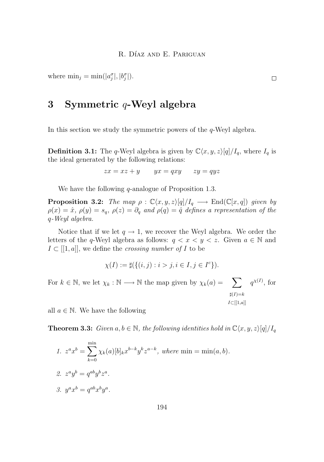<span id="page-8-0"></span>where  $\min_j = \min(|a_j^{\sigma}|, |b_j^{\sigma}|).$ 

# **3 Symmetric** q**-Weyl algebra**

In this section we study the symmetric powers of the  $q$ -Weyl algebra.

**Definition 3.1:** The q-Weyl algebra is given by  $\mathbb{C}\langle x, y, z\rangle[q]/I_q$ , where  $I_q$  is the ideal generated by the following relations:

 $zx = xz + y$   $yx = qxy$   $zy = qyz$ 

We have the following  $q$ -analogue of Proposition [1](#page-2-0).3.

**Proposition 3.2:** *The map*  $\rho : \mathbb{C}\langle x, y, z \rangle[q]/I_q \longrightarrow \text{End}(\mathbb{C}[x, q])$  *given by*  $\rho(x) = \hat{x}, \rho(y) = s_q, \rho(z) = \partial_q$  and  $\rho(q) = \hat{q}$  defines a representation of the q*-Weyl algebra.*

Notice that if we let  $q \to 1$ , we recover the Weyl algebra. We order the letters of the q-Weyl algebra as follows:  $q < x < y < z$ . Given  $a \in \mathbb{N}$  and  $I \subset [[1, a]],$  we define the *crossing number of* I to be

$$
\chi(I) := \sharp(\{(i, j) : i > j, i \in I, j \in I^c\}).
$$

For  $k \in \mathbb{N}$ , we let  $\chi_k : \mathbb{N} \longrightarrow \mathbb{N}$  the map given by  $\chi_k(a) = \sum_{k=1}^{\infty} q^{\chi(k)}$ , for  $\sharp(I)=k$  $I\subset$ [[1,a]]

all  $a \in \mathbb{N}$ . We have the following

**Theorem 3.3:** *Given*  $a, b \in \mathbb{N}$ *, the following identities hold in*  $\mathbb{C}\langle x, y, z \rangle[q]/I_q$ 

\n- 1. 
$$
z^a x^b = \sum_{k=0}^{\min} \chi_k(a)[b]_k x^{b-k} y^k z^{a-k}
$$
, where  $\min = \min(a, b)$ .
\n- 2.  $z^a y^b = q^{ab} y^b z^a$ .
\n- 3.  $y^a x^b = q^{ab} x^b y^a$ .
\n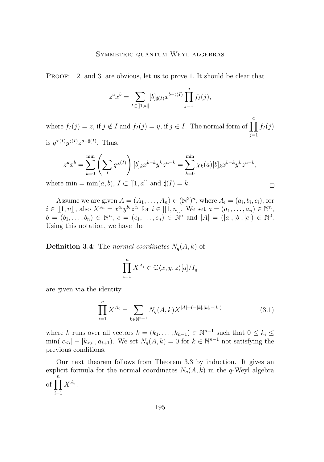<span id="page-9-0"></span>PROOF: 2. and 3. are obvious, let us to prove 1. It should be clear that

$$
z^{a}x^{b} = \sum_{I \subset [[1,a]]} [b]_{\sharp(I)} x^{b-\sharp(I)} \prod_{j=1}^{a} f_{I}(j),
$$

where  $f_I(j) = z$ , if  $j \notin I$  and  $f_I(j) = y$ , if  $j \in I$ . The normal form of  $\prod_{i=1}^{a} f_I(j)$  $j=1$ is  $q^{\chi(I)}y^{\sharp(I)}z^{a-\sharp(I)}$ . Thus,

$$
z^{a}x^{b} = \sum_{k=0}^{\min} \left( \sum_{I} q^{\chi(I)} \right) [b]_{k} x^{b-k} y^{k} z^{a-k} = \sum_{k=0}^{\min} \chi_{k}(a) [b]_{k} x^{b-k} y^{k} z^{a-k},
$$

 $\Box$ 

where  $\min = \min(a, b), I \subset [[1, a]]$  and  $\sharp(I) = k$ .

Assume we are given  $A = (A_1, \ldots, A_n) \in (\mathbb{N}^3)^n$ , where  $A_i = (a_i, b_i, c_i)$ , for  $i \in [[1, n]],$  also  $X^{A_i} = x^{a_i} y^{b_i} z^{c_i}$  for  $i \in [[1, n]].$  We set  $a = (a_1, ..., a_n) \in \mathbb{N}^n$ ,  $b = (b_1, \ldots, b_n) \in \mathbb{N}^n$ ,  $c = (c_1, \ldots, c_n) \in \mathbb{N}^n$  and  $|A| = (|a|, |b|, |c|) \in \mathbb{N}^3$ . Using this notation, we have the

**Definition 3.4:** The *normal coordinates*  $N_q(A, k)$  of

$$
\prod_{i=1}^{n} X^{A_i} \in \mathbb{C}\langle x, y, z \rangle[q]/I_q
$$

are given via the identity

$$
\prod_{i=1}^{n} X^{A_i} = \sum_{k \in \mathbb{N}^{n-1}} N_q(A, k) X^{|A| + (-|k|, |k|, -|k|)}
$$
(3.1)

where k runs over all vectors  $k = (k_1, \ldots, k_{n-1}) \in \mathbb{N}^{n-1}$  such that  $0 \leq k_i \leq$  $\min(|c_{\leq i}| - |k_{\leq i}|, a_{i+1})$ . We set  $N_q(A, k) = 0$  for  $k \in \mathbb{N}^{n-1}$  not satisfying the previous conditions.

Our next theorem follows from Theorem [3](#page-8-0).3 by induction. It gives an explicit formula for the normal coordinates  $N_q(A, k)$  in the q-Weyl algebra of  $\prod^n X^{A_i}$ .  $i=1$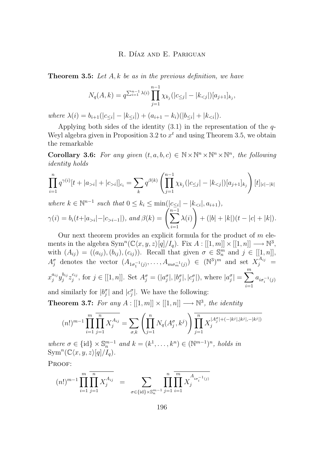<span id="page-10-0"></span>**Theorem 3.5:** *Let* A, k *be as in the previous definition, we have*

$$
N_q(A,k) = q^{\sum_{i=1}^{n-1} \lambda(i)} \prod_{j=1}^{n-1} \chi_{k_j}(|c_{\leq j}| - |k_{
$$

*where*  $\lambda(i) = b_{i+1}(|c_{\leq i}| - |k_{\leq i}|) + (a_{i+1} - k_i)(|b_{\leq i}| + |k_{\leq i}|).$ 

Applying both sides of the identity  $(3.1)$  $(3.1)$  in the representation of the  $q$ -Weyl algebra given in Proposition [3](#page-9-0).2 to  $x<sup>t</sup>$  and using Theorem 3.5, we obtain the remarkable

**Corollary 3.6:** For any given  $(t, a, b, c) \in \mathbb{N} \times \mathbb{N}^n \times \mathbb{N}^n \times \mathbb{N}^n$ , the following *identity holds*

$$
\prod_{i=1}^{n} q^{\gamma(i)}[t+|a_{>i}|+|c_{>i}|]_{c_i} = \sum_{k} q^{\beta(k)} \left( \prod_{j=1}^{n-1} \chi_{k_j}(|c_{\leq j}| - |k_{
$$

*where*  $k \in \mathbb{N}^{n-1}$  *such that*  $0 \le k_i \le \min(|c_{\le i}| - |k_{*,*$  $\gamma(i) = b_i(t+|a_{>i}| - |c_{>i-1}|)$ , and  $\beta(k) = \sum_{i=1}^{n-1} \lambda(i)$  $i=1$  $\setminus$  $+ (|b| + |k|)(t - |c| + |k|).$ 

Our next theorem provides an explicit formula for the product of  $m$  elements in the algebra  $\text{Sym}^n(\mathbb{C}\langle x,y,z\rangle[q]/I_q)$ . Fix  $A: [[1,m]] \times [[1,n]] \longrightarrow \mathbb{N}^3$ , with  $(A_{ij}) = ((a_{ij}), (b_{ij}), (c_{ij}))$ . Recall that given  $\sigma \in \mathbb{S}_n^m$  and  $j \in [[1, n]],$  $A_j^{\sigma}$  denotes the vector  $(A_{1\sigma_1^{-1}(j)},...,A_{m\sigma_m^{-1}(j)}) \in (\mathbb{N}^3)^m$  and set  $X_j^{A_{ij}} =$  $x_j^{a_{ij}}y_j^{b_{ij}}z_j^{c_{ij}},$  for  $j \in [[1, n]].$  Set  $A_j^{\sigma} = (|a_j^{\sigma}|, |b_j^{\sigma}|, |c_j^{\sigma}|),$  where  $|a_j^{\sigma}| = \sum_{j=1}^m$  $i=1$  $a_{i\sigma_i^{-1}(j)}$ and similarly for  $|b_j^{\sigma}|$  and  $|c_j^{\sigma}|$ . We have the following:

**Theorem 3.7:** For any  $A : [[1, m]] \times [[1, n]] \longrightarrow \mathbb{N}^3$ , the identity

$$
(n!)^{m-1} \prod_{i=1}^m \prod_{j=1}^n X_j^{A_{ij}} = \sum_{\sigma,k} \left( \prod_{j=1}^n N_q(A_j^{\sigma}, k^j) \right) \prod_{j=1}^n X_j^{|A_j^{\sigma}| + (-|k^j|, |k^j|, -|k^j|)}
$$

*where*  $\sigma \in \{\text{id}\} \times \mathbb{S}_n^{m-1}$  *and*  $k = (k^1, \ldots, k^n) \in (\mathbb{N}^{m-1})^n$ *, holds in*  $\text{Sym}^n(\mathbb{C}\langle x,y,z\rangle[q]/I_q)$ *.* 

PROOF:

$$
(n!)^{m-1} \prod_{i=1}^{m} \prod_{j=1}^{n} X_j^{A_{ij}} = \sum_{\sigma \in \{\text{id}\} \times \mathbb{S}_n^{m-1}} \prod_{j=1}^{n} \prod_{i=1}^{m} X_j^{A_{i\sigma_i^{-1}(j)}}
$$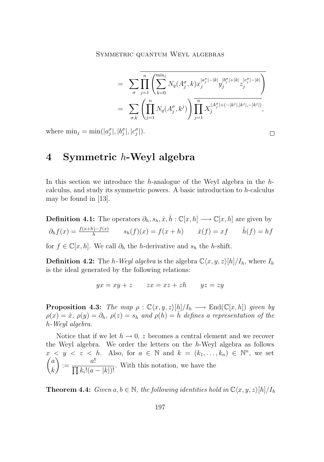$$
= \sum_{\sigma} \prod_{j=1}^{n} \left( \sum_{k=0}^{\min_{j}} N_q(A_j^{\sigma}, k) x_j^{|a_j^{\sigma}| - |k|} y_j^{|b_j^{\sigma}| + |k|} z_j^{|c_j^{\sigma}| - |k|} \right)
$$
  

$$
= \sum_{\sigma, k} \left( \prod_{j=1}^{n} N_q(A_j^{\sigma}, k^j) \right) \prod_{j=1}^{n} X_j^{|A_j^{\sigma}| + (-|k^j|, |k^j|, -|k^j|)},
$$

 $\Box$ 

<span id="page-11-0"></span>where  $\min_j = \min(|a_j^{\sigma}|, |b_j^{\sigma}|, |c_j^{\sigma}|).$ 

# **4 Symmetric** h**-Weyl algebra**

In this section we introduce the h-analogue of the Weyl algebra in the  $h$ calculus, and study its symmetric powers. A basic introduction to  $h$ -calculus may be found in [[13](#page-17-0)].

**Definition 4.1:** The operators  $\partial_h$ ,  $s_h$ ,  $\hat{x}, \hat{h}: \mathbb{C}[x,h] \longrightarrow \mathbb{C}[x,h]$  are given by  $\partial_h f(x) = \frac{f(x+h) - f(x)}{h}$   $s_h(f)(x) = f(x+h)$   $\hat{x}(f) = xf$   $\hat{h}(f) = hf$ 

for  $f \in \mathbb{C}[x,h]$ . We call  $\partial_h$  the h-derivative and  $s_h$  the h-shift.

**Definition 4.2:** The h-Weyl algebra is the algebra  $\mathbb{C}\langle x, y, z\rangle[h]/I_h$ , where  $I_h$ is the ideal generated by the following relations:

$$
yx = xy + z \qquad zx = xz + zh \qquad yz = zy
$$

**Proposition 4.3:** *The map*  $\rho : \mathbb{C}\langle x, y, z \rangle[h]/I_h \longrightarrow \text{End}(\mathbb{C}[x, h])$  *given by*  $\rho(x) = \hat{x}, \rho(y) = \partial_h, \rho(z) = s_h$  and  $\rho(h) = \hat{h}$  defines a representation of the h*-Weyl algebra.*

Notice that if we let  $h \to 0$ , z becomes a central element and we recover the Weyl algebra. We order the letters on the h-Weyl algebra as follows  $x < y < z < h$ . Also, for  $a \in \mathbb{N}$  and  $k = (k_1, \ldots, k_n) \in \mathbb{N}^n$ , we set  $\sqrt{a}$ k  $\Big) := \frac{a!}{\Box \Box \Box}$  $\frac{a}{\prod k_i!(a - |k|)!}$ . With this notation, we have the

**Theorem 4.4:**  $Given \, a, b \in \mathbb{N}$ , the following identities hold in  $\mathbb{C}\langle x, y, z \rangle[h]/I_h$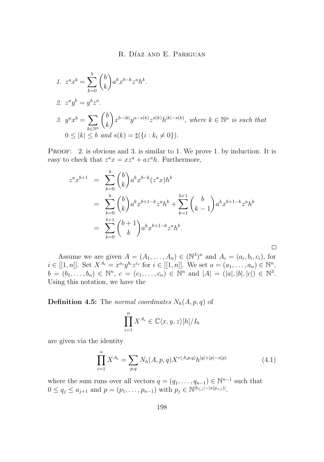1. 
$$
z^{a}x^{b} = \sum_{k=0}^{b} {b \choose k} a^{k}x^{b-k}z^{a}h^{k}.
$$
  
\n2. 
$$
z^{a}y^{b} = y^{b}z^{a}.
$$
  
\n3. 
$$
y^{a}x^{b} = \sum_{k \in \mathbb{N}^{a}} {b \choose k} x^{b-|k|}y^{a-s(k)}z^{s(k)}h^{|k|-s(k)}, \text{ where } k \in \mathbb{N}^{a} \text{ is such that}
$$
  
\n
$$
0 \leq |k| \leq b \text{ and } s(k) = \sharp(\lbrace i : k_{i} \neq 0 \rbrace).
$$

PROOF: 2. is obvious and 3. is similar to 1. We prove 1. by induction. It is easy to check that  $z^a x = x z^a + a z^a h$ . Furthermore,

$$
z^{a}x^{b+1} = \sum_{k=0}^{b} {b \choose k} a^{k}x^{b-k}(z^{a}x)h^{k}
$$
  
= 
$$
\sum_{k=0}^{b} {b \choose k} a^{k}x^{b+1-k}z^{a}h^{k} + \sum_{k=1}^{b+1} {b \choose k-1} a^{k}x^{b+1-k}z^{a}h^{k}
$$
  
= 
$$
\sum_{k=0}^{b+1} {b+1 \choose k} a^{k}x^{b+1-k}z^{a}h^{k}.
$$

Assume we are given  $A = (A_1, \ldots, A_n) \in (\mathbb{N}^3)^n$  and  $A_i = (a_i, b_i, c_i)$ , for  $i \in [[1, n]].$  Set  $X^{A_i} = x^{a_i} y^{b_i} z^{c_i}$  for  $i \in [[1, n]].$  We set  $a = (a_1, ..., a_n) \in \mathbb{N}^n$ ,  $b = (b_1, \ldots, b_n) \in \mathbb{N}^n$ ,  $c = (c_1, \ldots, c_n) \in \mathbb{N}^n$  and  $|A| = (|a|, |b|, |c|) \in \mathbb{N}^3$ . Using this notation, we have the

**Definition 4.5:** The *normal coordinates*  $N_h(A, p, q)$  of

$$
\prod_{i=1}^{n} X^{A_i} \in \mathbb{C}\langle x, y, z \rangle [h]/I_h
$$

are given via the identity

$$
\prod_{i=1}^{n} X^{A_i} = \sum_{p,q} N_h(A, p, q) X^{r(A, p, q)} h^{|q| + |p| - s(p)} \tag{4.1}
$$

 $\Box$ 

where the sum runs over all vectors  $q = (q_1, \ldots, q_{n-1}) \in \mathbb{N}^{n-1}$  such that  $0 \le q_j \le a_{j+1}$  and  $p = (p_1, \ldots, p_{n-1})$  with  $p_j \in \mathbb{N}^{\lfloor b_{\le j} \rfloor - |s(p_{.$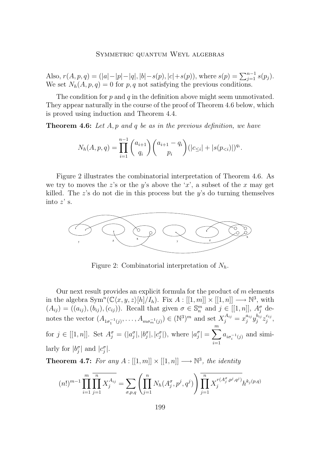<span id="page-13-0"></span>Also,  $r(A, p, q) = (|a| - |p| - |q|, |b| - s(p), |c| + s(p))$ , where  $s(p) = \sum_{j=1}^{n-1} s(p_j)$ . We set  $N_h(A, p, q) = 0$  for p, q not satisfying the previous conditions.

The condition for  $p$  and  $q$  in the definition above might seem unmotivated. They appear naturally in the course of the proof of Theorem 4.6 below, which is proved using induction and Theorem [4.4.](#page-11-0)

**Theorem 4.6:** *Let* A, p *and* q *be as in the previous definition, we have*

$$
N_h(A, p, q) = \prod_{i=1}^{n-1} {a_{i+1} \choose q_i} {a_{i+1} - q_i \choose p_i} (|c_{\leq i}| + |s(p_{
$$

Figure 2 illustrates the combinatorial interpretation of Theorem 4.6. As we try to moves the z's or the y's above the 'x', a subset of the x may get killed. The  $z$ 's do not die in this process but the  $y$ 's do turning themselves into  $z'$  s.



Figure 2: Combinatorial interpretation of  $N_h$ .

Our next result provides an explicit formula for the product of  $m$  elements in the algebra  $\text{Sym}^n(\mathbb{C}\langle x, y, z\rangle[h]/I_h)$ . Fix  $A: [[1, m]] \times [[1, n]] \longrightarrow \mathbb{N}^3$ , with  $(A_{ij}) = ((a_{ij}), (b_{ij}), (c_{ij}))$ . Recall that given  $\sigma \in \mathbb{S}_n^m$  and  $j \in [[1, n]], A_j^{\sigma}$  denotes the vector  $(A_{1\sigma_1^{-1}(j)},..., A_{m\sigma_m^{-1}(j)}) \in (\mathbb{N}^3)^m$  and set  $X_j^{A_{ij}} = x_j^{a_{ij}} y_j^{b_{ij}} z_j^{c_{ij}},$ for  $j \in [[1, n]]$ . Set  $A_j^{\sigma} = (|a_j^{\sigma}|, |b_j^{\sigma}|, |c_j^{\sigma}|)$ , where  $|a_j^{\sigma}| = \sum_{j=1}^{m}$  $i=1$  $a_{i\sigma_i^{-1}(j)}$  and similarly for  $|b_j^{\sigma}|$  and  $|c_j^{\sigma}|$ .

**Theorem 4.7:** For any  $A : [[1, m]] \times [[1, n]] \longrightarrow \mathbb{N}^3$ , the identity

$$
(n!)^{m-1} \prod_{i=1}^{m} \prod_{j=1}^{n} X_j^{A_{ij}} = \sum_{\sigma, p, q} \left( \prod_{j=1}^{n} N_h(A_j^{\sigma}, p^j, q^j) \right) \prod_{j=1}^{n} X_j^{r(A_j^{\sigma}, p^j, q^j)} h^{k_j(p, q)}
$$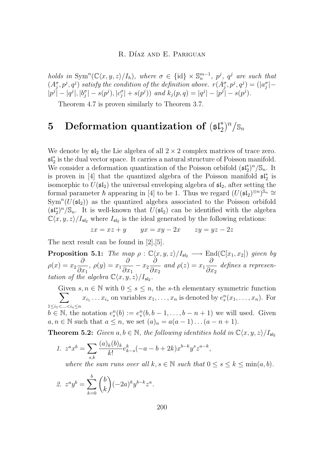<span id="page-14-0"></span>*holds in*  $\text{Sym}^n(\mathbb{C}\langle x,y,z\rangle/I_h)$ *, where*  $\sigma \in \{\text{id}\}\times\mathbb{S}_n^{m-1}$ *, p<sup>j</sup>, q<sup>j</sup> are such that*  $(A_j^{\sigma}, p^j, q^j)$  satisfy the condition of the definition above.  $r(A_j^{\sigma}, p^j, q^j) = (|a_j^{\sigma}| |p^{j}| - |q^{j}|, |b^{\sigma}_{j}| - s(p^{j}), |c^{\sigma}_{j}| + s(p^{j})$  *and*  $k_{j}(p,q) = |q^{j}| - |p^{j}| - s(p^{j}).$ 

Theorem [4.7](#page-13-0) is proven similarly to Theorem [3](#page-10-0).7.

# **5** Deformation quantization of  $(\mathfrak{sl}_2^*)^n/\mathbb{S}_n$

We denote by  $\mathfrak{sl}_2$  the Lie algebra of all  $2 \times 2$  complex matrices of trace zero. sl∗ 2 is the dual vector space. It carries a natural structure of Poisson manifold. We consider a deformation quantization of the Poisson orbifold  $(\mathfrak{sl}_2^*)^n/\mathbb{S}_n$ . It is proven in [\[4\]](#page-16-0) that the quantized algebra of the Poisson manifold  $\mathfrak{sl}_2^*$  is isomorphic to  $U(\mathfrak{sl}_2)$  the universal enveloping algebra of  $\mathfrak{sl}_2$ , after setting the formal parameter  $\hbar$  appearing in [\[4\]](#page-16-0) to be 1. Thus we regard  $(U(\mathfrak{sl}_2)^{\otimes n})^{\mathfrak{S}_n} \cong$  $\text{Sym}^n(U(\mathfrak{sl}_2))$  as the quantized algebra associated to the Poisson orbifold  $(\mathfrak{sl}_2^*)^n/\mathbb{S}_n$ . It is well-known that  $U(\mathfrak{sl}_2)$  can be identified with the algebra  $\mathbb{C}\langle x, y, z\rangle/I_{\mathfrak{sl}_2}$  where  $I_{\mathfrak{sl}_2}$  is the ideal generated by the following relations:

$$
zx = xz + y \qquad yx = xy - 2x \qquad zy = yz - 2z
$$

The next result can be found in [[2](#page-16-0)],[[5](#page-17-0)].

**Proposition 5.1:** *The map*  $\rho : \mathbb{C}\langle x, y, z \rangle / I_{\mathfrak{sl}_2} \longrightarrow \text{End}(\mathbb{C}[x_1, x_2])$  *given by*  $\rho(x) = x_2 \frac{\partial}{\partial x}$  $\frac{\partial}{\partial x_1}$ ,  $\rho(y) = x_1 \frac{\partial}{\partial x_1}$  $\frac{\partial}{\partial x_1} - x_2 \frac{\partial}{\partial x}$  $\frac{\partial}{\partial x_2}$  and  $\rho(z) = x_1 \frac{\partial}{\partial x}$  $\frac{\partial}{\partial x_2}$  defines a represen*tation of the algebra*  $\mathbb{C}\langle x,y,z\rangle/I_{\mathfrak{sl}_2}$ .

Given  $s, n \in \mathbb{N}$  with  $0 \leq s \leq n$ , the s-th elementary symmetric function  $\sum$  $1 \leq i_1 < ... < i_s \leq n$  $x_{i_1} \ldots x_{i_s}$  on variables  $x_1, \ldots, x_n$  is denoted by  $e_s^n(x_1, \ldots, x_n)$ . For  $b \in \mathbb{N}$ , the notation  $e_s^n(b) := e_s^n(b, b-1, \ldots, b-n+1)$  we will used. Given  $a, n \in \mathbb{N}$  such that  $a \leq n$ , we set  $(a)_n = a(a-1) \dots (a-n+1)$ .

**Theorem 5.2:** *Given*  $a, b \in \mathbb{N}$ *, the following identities hold in*  $\mathbb{C}\langle x, y, z \rangle / I_{\mathfrak{sl}_2}$ 

1.  $z^a x^b = \sum$ s,k  $(a)_k(b)_k$  $\frac{k(b)k}{k!}e_{k-s}^k(-a-b+2k)x^{b-k}y^sz^{a-k},$ 

*where the sum runs over all*  $k, s \in \mathbb{N}$  *such that*  $0 \leq s \leq k \leq \min(a, b)$ *.* 

2. 
$$
z^a y^b = \sum_{k=0}^b {b \choose k} (-2a)^k y^{b-k} z^a
$$
.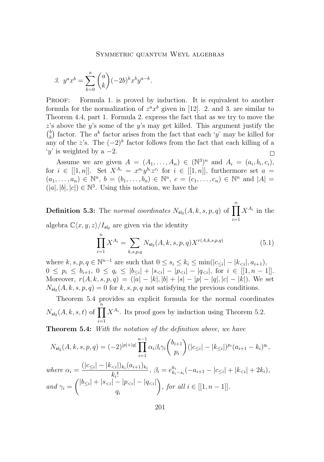3. 
$$
y^{a}x^{b} = \sum_{k=0}^{a} {a \choose k} (-2b)^{k}x^{b}y^{a-k}.
$$

PROOF: Formula 1. is proved by induction. It is equivalent to another formula for the normalization of  $z^a x^b$  given in [\[12\]](#page-17-0). 2. and 3. are similar to Theorem [4.4,](#page-11-0) part 1. Formula 2. express the fact that as we try to move the z's above the y's some of the y's may get killed. This argument justify the  $\binom{b}{k}$  factor. The  $a^k$  factor arises from the fact that each 'y' may be killed for (k) ractor. The a ractor ansess from the fact that each y may be kined to any of the z's. The  $(-2)^k$  factor follows from the fact that each killing of a  $y'$  is weighted by a  $-2$ .  $\Box$ 

Assume we are given  $A = (A_1, \ldots, A_n) \in (\mathbb{N}^3)^n$  and  $A_i = (a_i, b_i, c_i)$ , for  $i \in [[1,n]]$ . Set  $X^{A_i} = x^{a_i}y^{b_i}z^{c_i}$  for  $i \in [[1,n]]$ , furthermore set  $a =$  $(a_1, \ldots, a_n) \in \mathbb{N}^n$ ,  $b = (b_1, \ldots, b_n) \in \mathbb{N}^n$ ,  $c = (c_1, \ldots, c_n) \in \mathbb{N}^n$  and  $|A| =$  $(|a|, |b|, |c|) \in \mathbb{N}^3$ . Using this notation, we have the

**Definition 5.3:** The *normal coordinates*  $N_{\mathfrak{sl}_2}(A, k, s, p, q)$  of  $\prod^n$  $i=1$  $X^{A_i}$  in the algebra  $\mathbb{C}\langle x, y, z\rangle / I_{\mathfrak{sl}_2}$  are given via the identity

$$
\prod_{i=1}^{n} X^{A_i} = \sum_{k,s,p,q} N_{\mathfrak{sl}_2}(A,k,s,p,q) X^{r(A,k,s,p,q)}
$$
(5.1)

where  $k, s, p, q \in \mathbb{N}^{n-1}$  are such that  $0 \le s_i \le k_i \le \min(|c_{\le i}| - |k_{\le i}|, a_{i+1}),$  $0 \leq p_i \leq b_{i+1}, \ 0 \leq q_i \leq |b_{\leq i}| + |s_{\leq i}| - |p_{\leq i}| - |q_{\leq i}|, \ \text{for} \ i \in [[1, n-1]].$ Moreover,  $r(A, k, s, p, q) = (|a| - |k|, |b| + |s| - |p| - |q|, |c| - |k|)$ . We set  $N_{\mathfrak{sl}_2}(A, k, s, p, q) = 0$  for  $k, s, p, q$  not satisfying the previous conditions.

Theorem 5.4 provides an explicit formula for the normal coordinates  $N_{\mathfrak{sl}_2}(A, k, s, t)$  of  $\prod_{i=1}^{n} X^{A_i}$ . Its proof goes by induction using Theorem [5.2.](#page-14-0)  $i=1$ 

**Theorem 5.4:** *With the notation of the definition above, we have*

$$
N_{\mathfrak{sl}_2}(A, k, s, p, q) = (-2)^{|p|+|q|} \prod_{i=1}^{n-1} \alpha_i \beta_i \gamma_i \binom{b_{i+1}}{p_i} (|c_{\leq i}| - |k_{\leq i}|)^{p_i} (a_{i+1} - k_i)^{q_i},
$$
  
where 
$$
\alpha_i = \frac{(|c_{\leq i}| - |k_{  
and 
$$
\gamma_i = \binom{|b_{\leq i}| + |s_{
$$
$$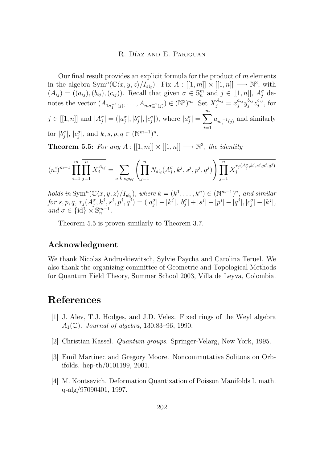<span id="page-16-0"></span>Our final result provides an explicit formula for the product of  $m$  elements in the algebra  $\text{Sym}^n(\mathbb{C}\langle x, y, z\rangle / I_{\mathfrak{sl}_2})$ . Fix  $A: [[1, m]] \times [[1, n]] \longrightarrow \mathbb{N}^3$ , with  $(A_{ij}) = ((a_{ij}), (b_{ij}), (c_{ij}))$ . Recall that given  $\sigma \in \mathbb{S}_n^m$  and  $j \in [[1, n]], A_j^{\sigma}$  denotes the vector  $(A_{1\sigma_1^{-1}(j)},..., A_{m\sigma_m^{-1}(j)}) \in (\mathbb{N}^3)^m$ . Set  $X_j^{A_{ij}} = x_j^{a_{ij}} y_j^{b_{ij}} z_j^{c_{ij}}$ , for  $j \in [[1, n]]$  and  $|A^{\sigma}_j| = (|a^{\sigma}_j|, |b^{\sigma}_j|, |c^{\sigma}_j|)$ , where  $|a^{\sigma}_j| = \sum^{m}$  $i=1$  $a_{i\sigma_i^{-1}(j)}$  and similarly for  $|b_j^{\sigma}|, |c_j^{\sigma}|$ , and  $k, s, p, q \in (\mathbb{N}^{m-1})^n$ .

**Theorem 5.5:** For any  $A : [[1, m]] \times [[1, n]] \longrightarrow \mathbb{N}^3$ , the identity

$$
(n!)^{m-1} \prod_{i=1}^{m} \prod_{j=1}^{n} X_j^{A_{ij}} = \sum_{\sigma,k,s,p,q} \left( \prod_{j=1}^{n} N_{\mathfrak{sl}_2}(A_j^{\sigma}, k^j, s^j, p^j, q^j) \right) \prod_{j=1}^{n} X_j^{r_j(A_j^{\sigma}, k^j, s^j, p^j, q^j)}
$$

*holds in* Sym<sup>n</sup>( $\mathbb{C}\langle x, y, z \rangle / I_{\mathfrak{sl}_2}$ ), where  $k = (k^1, \ldots, k^n) \in (\mathbb{N}^{m-1})^n$ , and similar  $for \: s,p,q, \: r_j(A_j^{\sigma},k^j,s^j,p^j,q^j) = (|a_j^{\sigma}|-|k^j|,|b_j^{\sigma}|+|s^j|-|p^j|-|q^j|,|c_j^{\sigma}|-|k^j|,$  $and \sigma \in \{\mathrm{id}\} \times \mathbb{S}_n^{m-1}.$ 

Theorem 5.5 is proven similarly to Theorem [3.7.](#page-10-0)

### **Acknowledgment**

We thank Nicolas Andruskiewitsch, Sylvie Paycha and Carolina Teruel. We also thank the organizing committee of Geometric and Topological Methods for Quantum Field Theory, Summer School 2003, Villa de Leyva, Colombia.

# **References**

- [1] J. Alev, T.J. Hodges, and J.D. Velez. Fixed rings of the Weyl algebra A1(C). *Journal of algebra*, 130:83–96, 1990.
- [2] Christian Kassel. *Quantum groups*. Springer-Velarg, New York, 1995.
- [3] Emil Martinec and Gregory Moore. Noncommutative Solitons on Orbifolds. hep-th/0101199, 2001.
- [4] M. Kontsevich. Deformation Quantization of Poisson Manifolds I. math. q-alg/97090401, 1997.